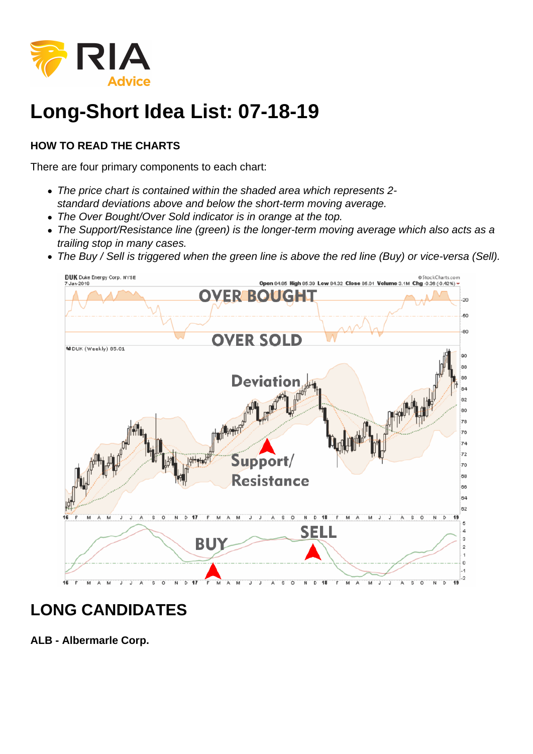

## **Long-Short Idea List: 07-18-19**

## **HOW TO READ THE CHARTS**

There are four primary components to each chart:

- The price chart is contained within the shaded area which represents 2 standard deviations above and below the short-term moving average.
- The Over Bought/Over Sold indicator is in orange at the top.
- The Support/Resistance line (green) is the longer-term moving average which also acts as a trailing stop in many cases.
- The Buy / Sell is triggered when the green line is above the red line (Buy) or vice-versa (Sell).



## **LONG CANDIDATES**

**ALB - Albermarle Corp.**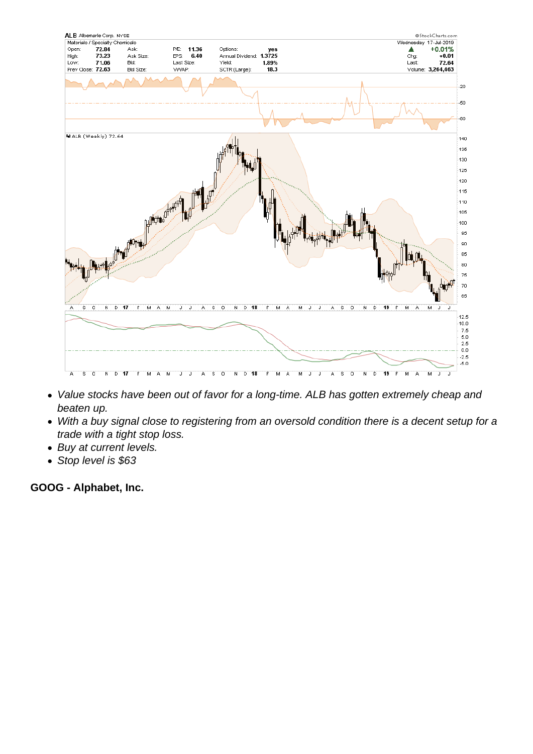- Value stocks have been out of favor for a long-time. ALB has gotten extremely cheap and beaten up.
- With a buy signal close to registering from an oversold condition there is a decent setup for a trade with a tight stop loss.
- Buy at current levels.
- Stop level is \$63

GOOG - Alphabet, Inc.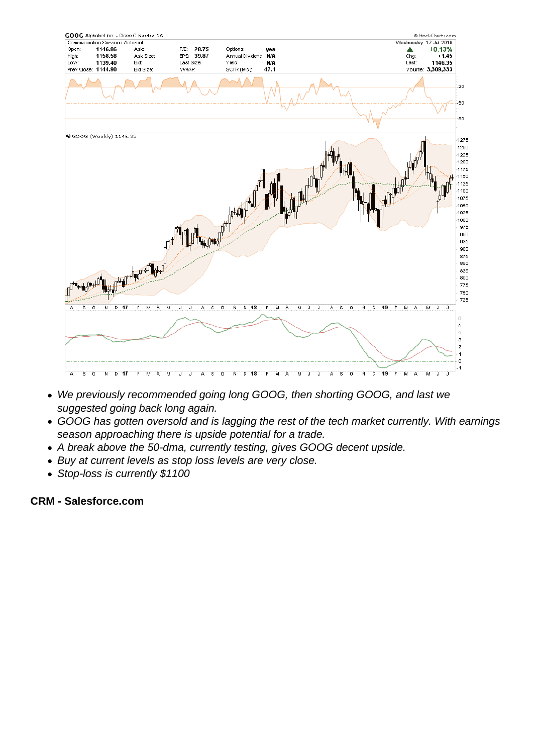- We previously recommended going long GOOG, then shorting GOOG, and last we suggested going back long again.
- GOOG has gotten oversold and is lagging the rest of the tech market currently. With earnings season approaching there is upside potential for a trade.
- A break above the 50-dma, currently testing, gives GOOG decent upside.
- Buy at current levels as stop loss levels are very close.
- Stop-loss is currently \$1100

CRM - Salesforce.com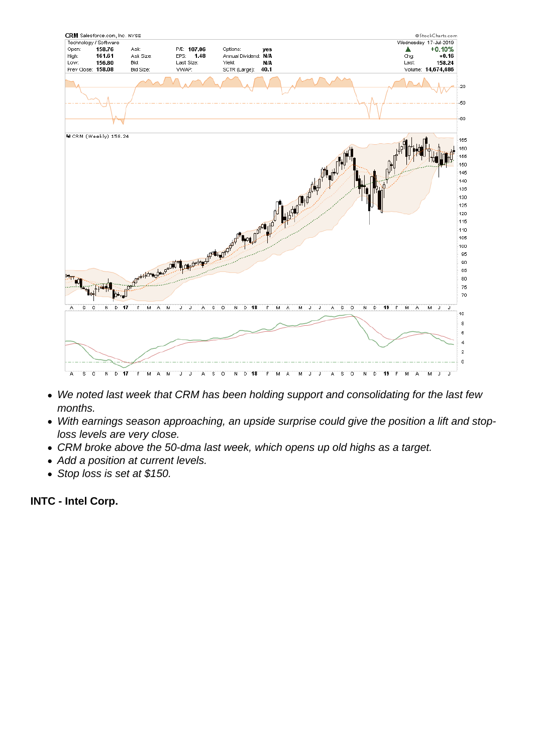- We noted last week that CRM has been holding support and consolidating for the last few months.
- With earnings season approaching, an upside surprise could give the position a lift and stoploss levels are very close.
- CRM broke above the 50-dma last week, which opens up old highs as a target.
- Add a position at current levels.
- Stop loss is set at \$150.

INTC - Intel Corp.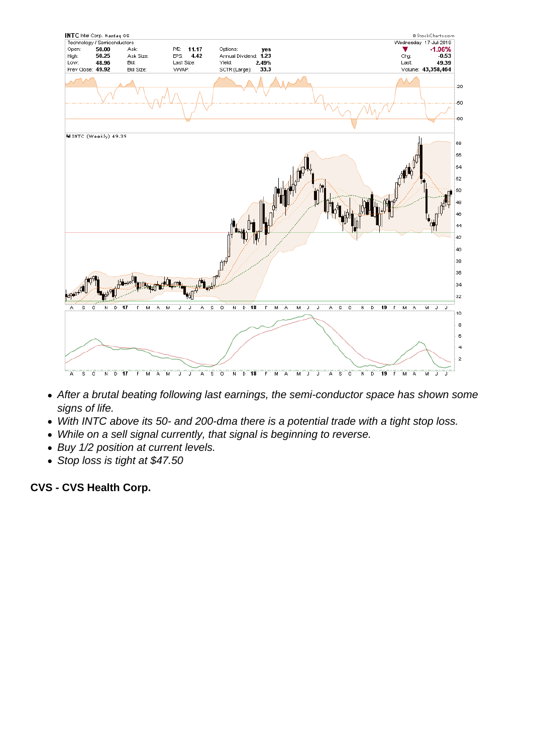- After a brutal beating following last earnings, the semi-conductor space has shown some signs of life.
- With INTC above its 50- and 200-dma there is a potential trade with a tight stop loss.
- While on a sell signal currently, that signal is beginning to reverse.
- Buy 1/2 position at current levels.
- Stop loss is tight at \$47.50

CVS - CVS Health Corp.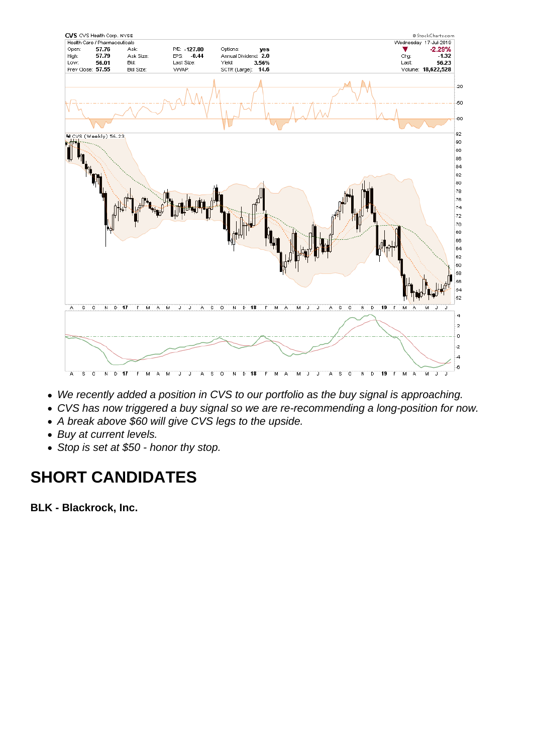- We recently added a position in CVS to our portfolio as the buy signal is approaching.
- CVS has now triggered a buy signal so we are re-recommending a long-position for now.
- A break above \$60 will give CVS legs to the upside.
- Buy at current levels.
- Stop is set at \$50 honor thy stop.

## SHORT CANDIDATES

BLK - Blackrock, Inc.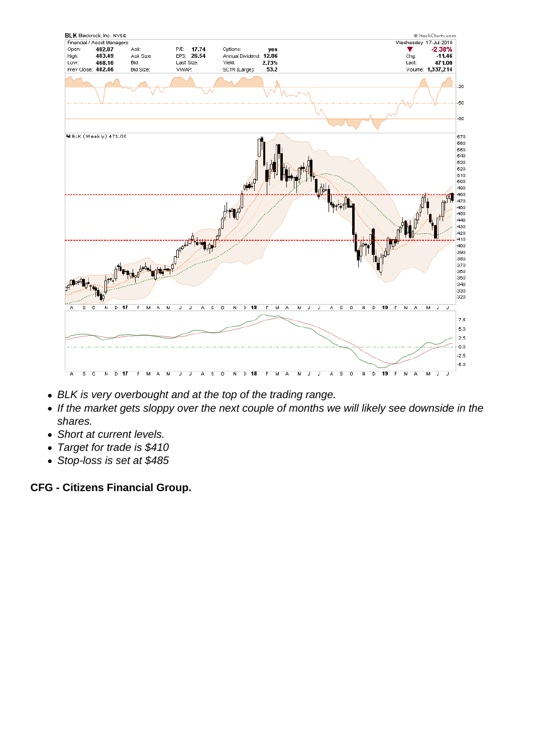- BLK is very overbought and at the top of the trading range.
- If the market gets sloppy over the next couple of months we will likely see downside in the shares.
- Short at current levels.
- Target for trade is \$410
- Stop-loss is set at \$485

CFG - Citizens Financial Group.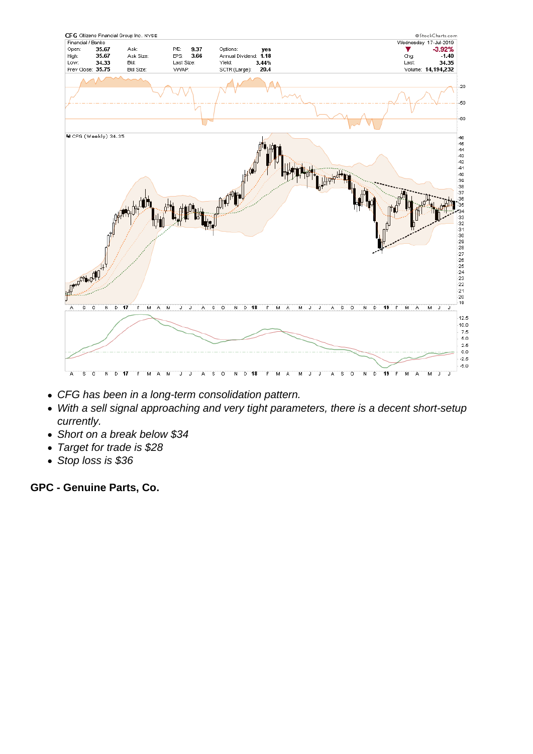- CFG has been in a long-term consolidation pattern.
- With a sell signal approaching and very tight parameters, there is a decent short-setup currently.
- Short on a break below \$34
- Target for trade is \$28
- Stop loss is \$36

GPC - Genuine Parts, Co.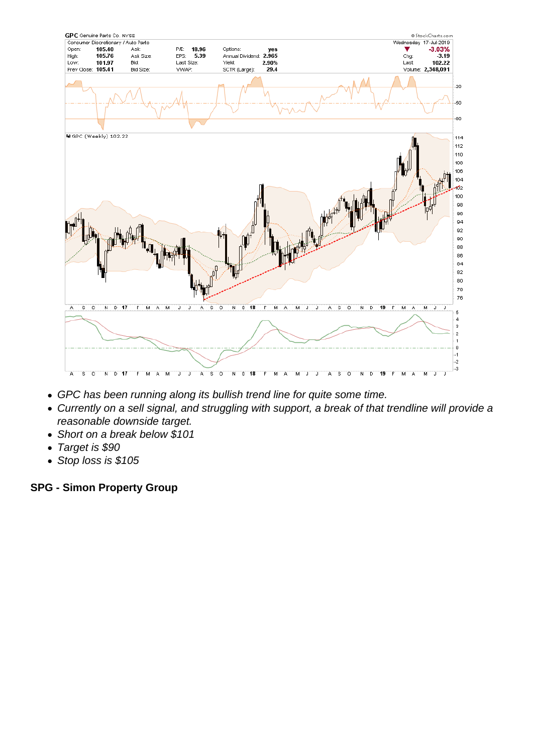- GPC has been running along its bullish trend line for quite some time.
- Currently on a sell signal, and struggling with support, a break of that trendline will provide a reasonable downside target.
- Short on a break below \$101
- Target is \$90
- Stop loss is \$105

SPG - Simon Property Group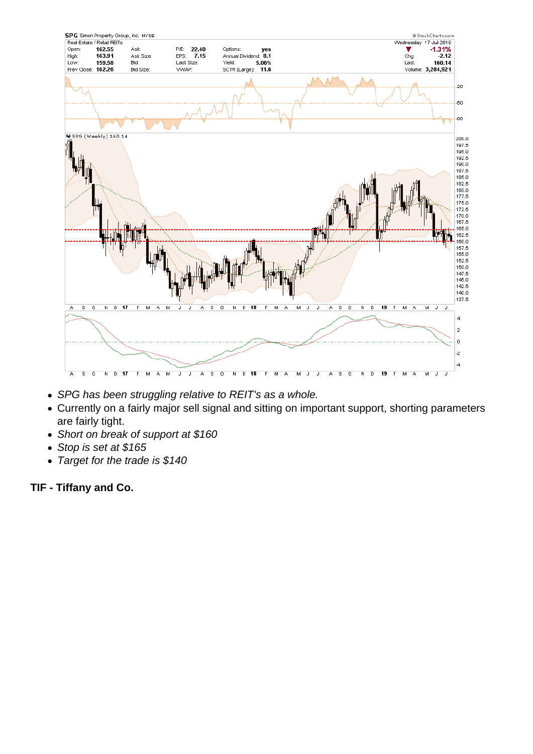- SPG has been struggling relative to REIT's as a whole.
- Currently on a fairly major sell signal and sitting on important support, shorting parameters are fairly tight.
- Short on break of support at \$160
- Stop is set at \$165
- Target for the trade is \$140

TIF - Tiffany and Co.